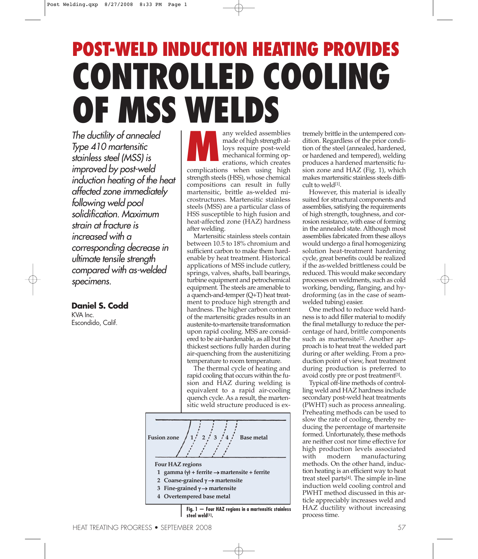# **POST-WELD INDUCTION HEATING PROVIDES CONTROLLED COOLING OF MSS WELDS**

The ductility of annealed Type 410 martensitic stainless steel (MSS) is improved by post-weld induction heating of the heat affected zone immediately following weld pool solidification. Maximum strain at fracture is increased with <sup>a</sup> corresponding decrease in ultimate tensile strength compared with as-welded specimens.

## **Daniel S. Codd**

KVA Inc. Escondido, Calif.

any welded assemblies made of high strength alloys require post-weld mechanical forming operations, which creates complications when using high strength steels (HSS), whose chemical compositions can result in fully martensitic, brittle as-welded microstructures. Martensitic stainless steels (MSS) are a particular class of HSS susceptible to high fusion and heat-affected zone (HAZ) hardness after welding. **M**

Martensitic stainless steels contain between 10.5 to 18% chromium and sufficient carbon to make them hardenable by heat treatment. Historical applications of MSS include cutlery, springs, valves, shafts, ball bearings, turbine equipment and petrochemical equipment. The steels are amenable to a quench-and-temper(Q+T) heat treatment to produce high strength and hardness. The higher carbon content of the martensitic grades results in an austenite-to-martensite transformation upon rapid cooling. MSS are considered to be air-hardenable, as all but the thickest sections fully harden during air-quenching from the austenitizing temperature to room temperature.

The thermal cycle of heating and rapid cooling that occurs within the fusion and HAZ during welding is equivalent to a rapid air-cooling quench cycle. As a result, the martensitic weld structure produced is ex-



**Fig. 1 — Four HAZ regions in a martensitic stainless steel weld[1].**

tremely brittle in the untempered condition. Regardless of the prior condition of the steel (annealed, hardened, or hardened and tempered), welding produces a hardened martensitic fusion zone and HAZ (Fig. 1), which makes martensitic stainless steels difficult to weld[1] .

However, this material is ideally suited for structural components and assemblies, satisfying the requirements of high strength, toughness, and corrosion resistance, with ease of forming in the annealed state. Although most assemblies fabricated from these alloys would undergo a final homogenizing solution heat-treatment hardening cycle, great benefits could be realized if the as-welded brittleness could be reduced. This would make secondary processes on weldments, such as cold working, bending, flanging, and hydroforming (as in the case of seamwelded tubing) easier.

One method to reduce weld hardness is to add filler material to modify the final metallurgy to reduce the percentage of hard, brittle components such as martensite<sup>[2]</sup>. Another approach is to heat treat the welded part during or after welding. From a production point of view, heat treatment during production is preferred to avoid costly pre or post treatment[3].

Typical off-line methods of controlling weld and HAZ hardness include secondary post-weld heat treatments (PWHT) such as process annealing. Preheating methods can be used to slow the rate of cooling, thereby reducing the percentage of martensite formed. Unfortunately, these methods are neither cost nor time effective for high production levels associated with modern manufacturing methods. On the other hand, induction heating is an efficient way to heat treat steel parts[4] . The simple in-line induction weld cooling control and PWHT method discussed in this article appreciably increases weld and HAZ ductility without increasing process time.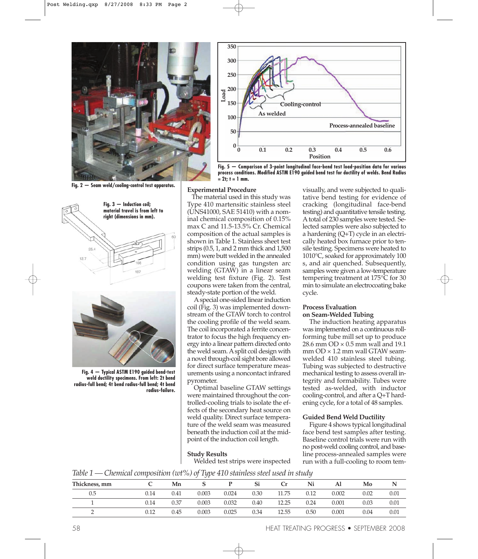

**Fig. 2 — Seam weld/cooling-control test apparatus.**





**Fig. 4 — Typical ASTM E190 guided bend-test weld ductility specimens. From left: 2t bend radius-full bend; 4t bend radius-full bend; 4t bend radius-failure.**



**Fig. 5 — Comparison of 3-point longitudinal face-bend test load-position data for various process conditions. Modified ASTM E190 guided bend test for ductility of welds. Bend Radius**  $= 2t; t = 1$  mm.

## **Experimental Procedure**

The material used in this study was Type 410 martensitic stainless steel (UNS41000, SAE 51410) with a nominal chemical composition of 0.15% max C and 11.5-13.5% Cr. Chemical composition of the actual samples is shown in Table 1. Stainless sheet test strips (0.5, 1, and 2 mm thick and 1,500 mm) were butt welded in the annealed condition using gas tungsten arc welding (GTAW) in a linear seam welding test fixture (Fig. 2). Test coupons were taken from the central, steady-state portion of the weld.

A special one-sided linear induction coil (Fig. 3) was implemented downstream of the GTAW torch to control the cooling profile of the weld seam. The coil incorporated a ferrite concentrator to focus the high frequency energy into a linear pattern directed onto the weld seam.Asplit coil design with a novel through-coil sight bore allowed for direct surface temperature measurements using a noncontact infrared pyrometer.

Optimal baseline GTAW settings were maintained throughout the controlled-cooling trials to isolate the effects of the secondary heat source on weld quality. Direct surface temperature of the weld seam was measured beneath the induction coil at the midpoint of the induction coil length.

## **Study Results**

Welded test strips were inspected

visually, and were subjected to qualitative bend testing for evidence of cracking (longitudinal face-bend testing) and quantitative tensile testing. Atotal of 230 samples were tested. Selected samples were also subjected to a hardening (Q+T) cycle in an electrically heated box furnace prior to tensile testing. Specimens were heated to 1010°C, soaked for approximately 100 s, and air quenched. Subsequently, samples were given a low-temperature tempering treatment at 175°C for 30 min to simulate an electrocoating bake cycle.

## **Process Evaluation on Seam-Welded Tubing**

The induction heating apparatus was implemented on a continuous rollforming tube mill set up to produce 28.6 mm  $OD \times 0.5$  mm wall and 19.1 mm OD × 1.2 mm wall GTAW seamwelded 410 stainless steel tubing. Tubing was subjected to destructive mechanical testing to assess overall integrity and formability. Tubes were tested as-welded, with inductor cooling-control, and after a Q+T hardening cycle, for a total of 48 samples.

#### **Guided Bend Weld Ductility**

Figure 4 shows typical longitudinal face bend test samples after testing. Baseline control trials were run with no post-weld cooling control, and baseline process-annealed samples were run with a full-cooling to room tem-

*Table 1 — Chemical composition (wt%) of Type 410 stainlesssteel used in study*

| Thickness, mm |      | Mn   |       |       | Si   |       | Ni   | ΑI    | Mo   |          |
|---------------|------|------|-------|-------|------|-------|------|-------|------|----------|
| 0.5           | 0.14 | 0.41 | 0.003 | 0.024 | 0.30 | 11.75 | 0.12 | 0.002 | 0.02 | $0.01\,$ |
|               | 0.14 | 0.37 | 0.003 | 0.032 | 0.40 | 12.25 | 0.24 | 0.001 | 0.03 | 0.01     |
|               | ).12 | 0.45 | 0.003 | 0.025 | 0.34 | 12.55 | 0.50 | 0.001 | 0.04 | $0.01\,$ |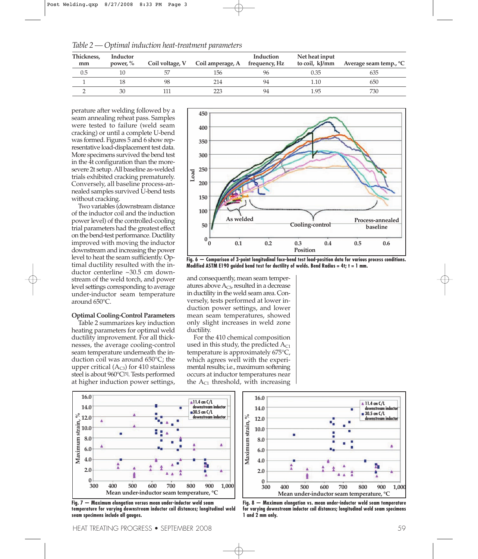| Thickness,<br>mm | Inductor<br>power, $\%$ | Coil voltage, V | Coil amperage, A | Induction<br>frequency, Hz | Net heat input<br>to coil, kJ/mm | Average seam temp., <sup>o</sup> C |
|------------------|-------------------------|-----------------|------------------|----------------------------|----------------------------------|------------------------------------|
| 0.5              |                         |                 | 156              |                            | 0.35                             | 635                                |
|                  |                         | 98              | 214              | 94                         | 10،،                             | 650                                |
|                  | 30                      |                 |                  | 94                         | .95                              | 730                                |

*Table 2 — Optimal induction heat-treatment parameters*

perature after welding followed by a seam annealing reheat pass. Samples were tested to failure (weld seam cracking) or until a complete U-bend was formed. Figures 5 and 6 show representative load-displacement test data. More specimens survived the bend test in the 4t configuration than the moresevere 2t setup.All baseline as-welded trials exhibited cracking prematurely. Conversely, all baseline process-annealed samples survived U-bend tests without cracking.

Two variables (downstream distance of the inductor coil and the induction power level) of the controlled-cooling trial parameters had the greatest effect on the bend-test performance. Ductility improved with moving the inductor downstream and increasing the power level to heat the seam sufficiently. Optimal ductility resulted with the inductor centerline ~30.5 cm downstream of the weld torch, and power level settings corresponding to average under-inductor seam temperature around 650°C.

## **Optimal Cooling-Control Parameters**

Table 2 summarizes key induction heating parameters for optimal weld ductility improvement. For all thicknesses, the average cooling-control seam temperature underneath the induction coil was around 650°C; the upper critical  $(A<sub>C3</sub>)$  for 410 stainless steel is about 960°C<sup>[5]</sup>. Tests performed at higher induction power settings,



**Fig. 6 — Comparison of 3-point longitudinal face-bend test load-position data for various process conditions. Modified ASTM E190 guided bend test for ductility of welds. Bend Radius = 4t; t = 1 mm.**

and consequently, mean seam temperatures above  $A_{C3}$ , resulted in a decrease in ductility in the weld seam area. Conversely, tests performed at lower induction power settings, and lower mean seam temperatures, showed only slight increases in weld zone ductility.

For the 410 chemical composition used in this study, the predicted  $A_{C1}$ temperature is approximately 675°C, which agrees well with the experimental results; i.e., maximum softening occurs at inductor temperatures near the  $A_{C1}$  threshold, with increasing



**Fig. 7 — Maximum elongation versus mean under-inductor weld seam temperature for varying downstream inductor coil distances; longitudinal weld seam specimens include all gauges.**



**Fig. 8 — Maximum elongation vs. mean under-inductor weld seam temperature for varying downstream inductor coil distances; longitudinal weld seam specimens 1 and 2 mm only.**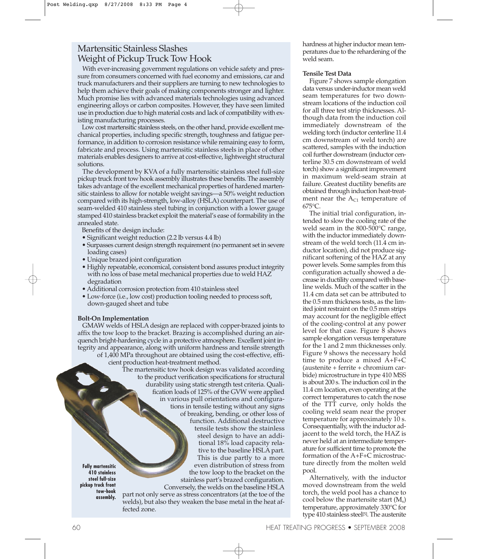## Martensitic Stainless Slashes Weight of Pickup Truck Tow Hook

With ever-increasing government regulations on vehicle safety and pressure from consumers concerned with fuel economy and emissions, car and truck manufacturers and their suppliers are turning to new technologies to help them achieve their goals of making components stronger and lighter. Much promise lies with advanced materials technologies using advanced engineering alloys or carbon composites. However, they have seen limited use in production due to high material costs and lack of compatibility with existing manufacturing processes.

Low cost martensitic stainless steels, on the other hand, provide excellent mechanical properties, including specific strength, toughness and fatigue performance, in addition to corrosion resistance while remaining easy to form, fabricate and process. Using martensitic stainless steels in place of other materials enables designers to arrive at cost-effective, lightweight structural solutions.

The development by KVA of a fully martensitic stainless steel full-size pickup truck front tow hook assembly illustrates these benefits. The assembly takes advantage of the excellent mechanical properties of hardened martensitic stainless to allow for notable weight savings—a 50% weight reduction compared with its high-strength, low-alloy (HSLA) counterpart. The use of seam-welded 410 stainless steel tubing in conjunction with a lower gauge stamped 410 stainless bracket exploit the material's ease of formability in the annealed state.

Benefits of the design include:

- Significant weight reduction (2.2 lb versus 4.4 lb)
- Surpasses current design strength requirement (no permanent set in severe loading cases)
- Unique brazed joint configuration
- Highly repeatable, economical, consistent bond assures product integrity with no loss of base metal mechanical properties due to weld HAZ degradation
- •Additional corrosion protection from 410 stainless steel
- Low-force (i.e., low cost) production tooling needed to process soft, down-gauged sheet and tube

## **Bolt-On Implementation**

GMAW welds of HSLA design are replaced with copper-brazed joints to affix the tow loop to the bracket. Brazing is accomplished during an airquench bright-hardening cycle in a protective atmosphere. Excellent joint integrity and appearance, along with uniform hardness and tensile strength

of 1,400 MPa throughout are obtained using the cost-effective, efficient production heat-treatment method.

> The martensitic tow hook design was validated according to the product verification specifications for structural durability using static strength test criteria. Qualification loads of 125% of the GVW were applied in various pull orientations and configurations in tensile testing without any signs of breaking, bending, or other loss of function. Additional destructive tensile tests show the stainless steel design to have an additional 18% load capacity relative to the baseline HSLA part. This is due partly to a more even distribution of stress from the tow loop to the bracket on the stainless part's brazed configuration. Conversely, the welds on the baseline HSLA part not only serve as stress concentrators (at the toe of the welds), but also they weaken the base metal in the heat af

hardness at higher inductor mean temperatures due to the rehardening of the weld seam.

## **Tensile Test Data**

Figure 7 shows sample elongation data versus under-inductor mean weld seam temperatures for two downstream locations of the induction coil for all three test strip thicknesses. Although data from the induction coil immediately downstream of the welding torch (inductor centerline 11.4 cm downstream of weld torch) are scattered, samples with the induction coil further downstream (inductor centerline 30.5 cm downstream of weld torch) show a significant improvement in maximum weld-seam strain at failure. Greatest ductility benefits are obtained through induction heat-treatment near the  $A_{C1}$  temperature of 675°C.

The initial trial configuration, intended to slow the cooling rate of the weld seam in the 800-500°C range, with the inductor immediately downstream of the weld torch (11.4 cm inductor location), did not produce significant softening of the HAZ at any power levels. Some samples from this configuration actually showed a decrease in ductility compared with baseline welds. Much of the scatter in the 11.4 cm data set can be attributed to the 0.5 mm thickness tests, as the limited joint restraint on the 0.5 mm strips may account for the negligible effect of the cooling-control at any power level for that case. Figure 8 shows sample elongation versus temperature for the 1 and 2 mm thicknesses only. Figure 9 shows the necessary hold time to produce a mixed A+F+C (austenite + ferrite + chromium carbide) microstructure in type 410 MSS is about 200 s. The induction coil in the 11.4 cm location, even operating at the correct temperatures to catch the nose of the TTT curve, only holds the cooling weld seam near the proper temperature for approximately 10 s. Consequentially, with the inductor adjacent to the weld torch, the HAZ is never held at an intermediate temperature for sufficient time to promote the formation of the A+F+C microstructure directly from the molten weld pool.

Alternatively, with the inductor moved downstream from the weld torch, the weld pool has a chance to cool below the martensite start  $(M_s)$ temperature, approximately 330°C for type 410 stainless steel<sup>[5]</sup>. The austenite

**Fully martensitic 410 stainless steel full-size pickup truck front tow-hook assembly.**

fected zone.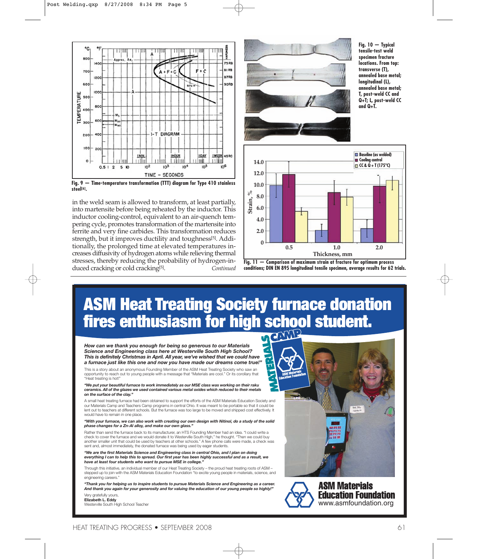

**Fig. 9 — Time-temperature transformation (TTT) diagram for Type 410 stainless steel[6].**

in the weld seam is allowed to transform, at least partially, into martensite before being reheated by the inductor. This inductor cooling-control, equivalent to an air-quench tempering cycle, promotes transformation of the martensite into ferrite and very fine carbides. This transformation reduces strength, but it improves ductility and toughness[5] . Additionally, the prolonged time at elevated temperatures increases diffusivity of hydrogen atoms while relieving thermal stresses, thereby reducing the probability of hydrogen-induced cracking or cold cracking<sup>[5]</sup>. . *Continued*



**Fig. 10 — Typical tensile-test weld specimen fracture locations. From top: transverse (T), annealed base metal; longitudinal (L), annealed base metal; T, post-weld CC and Q+T; L, post-weld CC and Q+T.**





## ASM Heat Treating Society furnace donation fires enthusiasm for high school student.

*How can we thank you enough for being so generous to our Materials Science and Engineering class here at Westerville South High School? This is definitely Christmas in April. All year, we've wished that we could have a furnace just like this one and now you have made our dreams come true!"*

This is a story about an anonymous Founding Member of the ASM Heat Treating Society who saw an opportunity to reach out to young people with a message that "Materials are cool." Or its corollary that "Heat treating is hot!"

*"We put your beautiful furnace to work immediately as our MSE class was working on their raku ceramics. All of the glazes we used contained various metal oxides which reduced to their metals on the surface of the clay."*

A small heat treating furnace had been obtained to support the efforts of the ASM Materials Education Society and our Materials Camp and Teachers Camp programs in central Ohio. It was meant to be portable so that it could be lent out to teachers at different schools. But the furnace was too large to be moved and shipped cost effectively. It would have to remain in one place.

"With your furnace, we can also work with creating our own design with Nitinol, do a study of the solid *phase changes for a Zn-Al alloy, and make our own glass."*

Rather than send the furnace back to its manufacturer, an HTS Founding Member had an idea. "I could write a check to cover the furnace and we would donate it to Westerville South High," he thought. "Then we could buy another smaller unit that could be used by teachers at other schools." A few phone calls were made, a check was sent and, almost immediately, the donated furnace was being used by eager students.

*"We are the first Materials Science and Engineering class in central Ohio, and I plan on doing* everything I can to help this to spread. Our first year has been highly successful and as a result, we *have at least four students who want to pursue MSE in college."*

Through this initiative, an individual member of our Heat Treating Society – the proud heat treating roots of ASM – stepped up to join with the ASM Materials Education Foundation "to excite young people in materials, science, and engineering careers

*"Thank you for helping us to inspire students to pursue Materials Science and Engineering as a career.* And thank you again for your generosity and for valuing the education of our young people so highly!" Very gratefully yours,

**Elizabeth L. Eddy** Westerville South High School Teacher





**ASM Materials Education Foundation** www.asmfoundation.org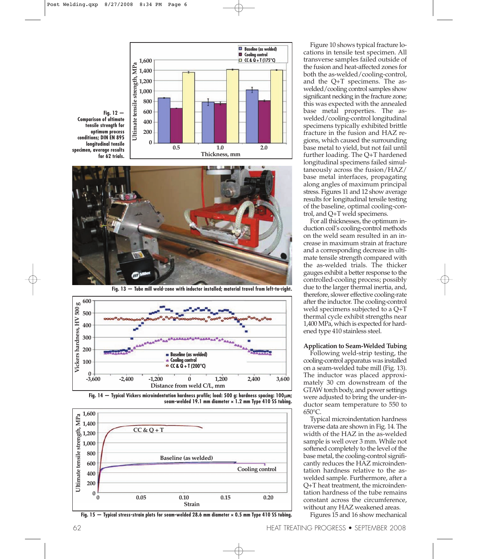



**Fig. 13 — Tube mill weld-zone with inductor installed; material travel from left-to-right.**







Fig.  $15$  - Typical stress-strain plots for seam-welded 28.6 mm diameter  $\times$  0.5 mm Type 410 SS tubing.

Figure 10 shows typical fracture locations in tensile test specimen. All transverse samples failed outside of the fusion and heat-affected zones for both the as-welded/cooling-control, and the Q+T specimens. The aswelded/cooling control samples show significant necking in the fracture zone; this was expected with the annealed base metal properties. The aswelded/cooling-control longitudinal specimens typically exhibited brittle fracture in the fusion and HAZ regions, which caused the surrounding base metal to yield, but not fail until further loading. The Q+T hardened longitudinal specimens failed simultaneously across the fusion/HAZ/ base metal interfaces, propagating along angles of maximum principal stress. Figures 11 and 12 show average results for longitudinal tensile testing of the baseline, optimal cooling-control, and Q+T weld specimens.

For all thicknesses, the optimum induction coil's cooling-control methods on the weld seam resulted in an increase in maximum strain at fracture and a corresponding decrease in ultimate tensile strength compared with the as-welded trials. The thicker gauges exhibit a better response to the controlled-cooling process; possibly due to the larger thermal inertia, and, therefore, slower effective cooling-rate after the inductor. The cooling-control weld specimens subjected to a Q+T thermal cycle exhibit strengths near 1,400 MPa, which is expected for hardened type 410 stainless steel.

### **Application to Seam-Welded Tubing**

Following weld-strip testing, the cooling-control apparatus was installed on a seam-welded tube mill (Fig. 13). The inductor was placed approximately 30 cm downstream of the GTAW torch body, and power settings were adjusted to bring the under-inductor seam temperature to 550 to 650°C.

Typical microindentation hardness traverse data are shown in Fig. 14. The width of the HAZ in the as-welded sample is well over 3 mm. While not softened completely to the level of the base metal, the cooling-control significantly reduces the HAZ microindentation hardness relative to the aswelded sample. Furthermore, after a Q+T heat treatment, the microindentation hardness of the tube remains constant across the circumference, without any HAZ weakened areas.

Figures 15 and 16 show mechanical